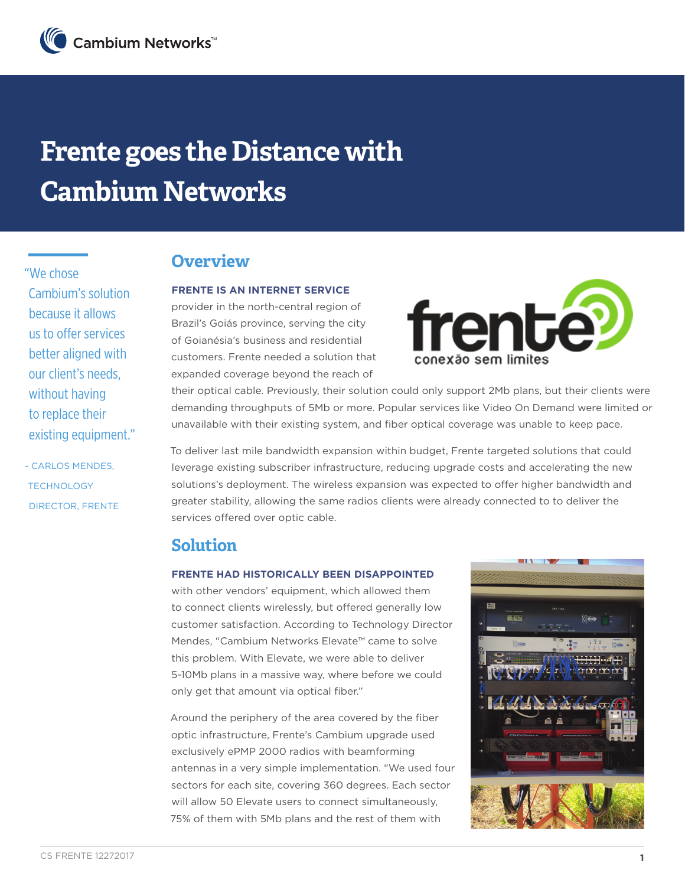# **Frente goes the Distance with Cambium Networks**

"We chose Cambium's solution because it allows us to offer services better aligned with our client's needs, without having to replace their existing equipment."

- CARLOS MENDES, TECHNOLOGY DIRECTOR, FRENTE

## **Overview**

### **FRENTE IS AN INTERNET SERVICE**

provider in the north-central region of Brazil's Goiás province, serving the city of Goianésia's business and residential customers. Frente needed a solution that expanded coverage beyond the reach of



their optical cable. Previously, their solution could only support 2Mb plans, but their clients were demanding throughputs of 5Mb or more. Popular services like Video On Demand were limited or unavailable with their existing system, and fiber optical coverage was unable to keep pace.

To deliver last mile bandwidth expansion within budget, Frente targeted solutions that could leverage existing subscriber infrastructure, reducing upgrade costs and accelerating the new solutions's deployment. The wireless expansion was expected to offer higher bandwidth and greater stability, allowing the same radios clients were already connected to to deliver the services offered over optic cable.

## **Solution**

#### **FRENTE HAD HISTORICALLY BEEN DISAPPOINTED**

with other vendors' equipment, which allowed them to connect clients wirelessly, but offered generally low customer satisfaction. According to Technology Director Mendes, "Cambium Networks Elevate™ came to solve this problem. With Elevate, we were able to deliver 5-10Mb plans in a massive way, where before we could only get that amount via optical fiber."

Around the periphery of the area covered by the fiber optic infrastructure, Frente's Cambium upgrade used exclusively ePMP 2000 radios with beamforming antennas in a very simple implementation. "We used four sectors for each site, covering 360 degrees. Each sector will allow 50 Elevate users to connect simultaneously. 75% of them with 5Mb plans and the rest of them with